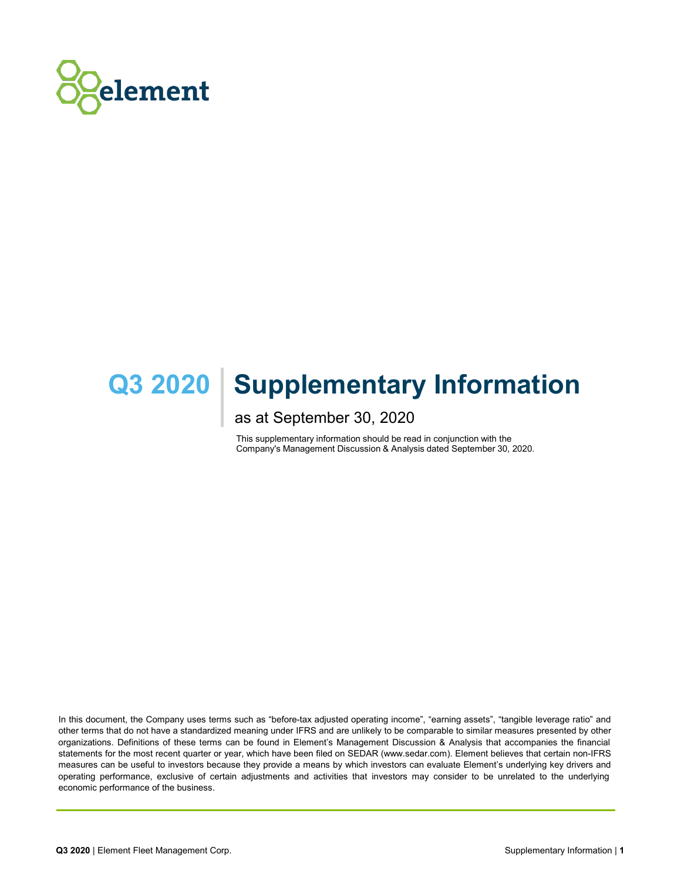

# **Q3 2020 | Supplementary Information**

as at September 30, 2020

This supplementary information should be read in conjunction with the Company's Management Discussion & Analysis dated September 30, 2020.

In this document, the Company uses terms such as "before-tax adjusted operating income", "earning assets", "tangible leverage ratio" and other terms that do not have a standardized meaning under IFRS and are unlikely to be comparable to similar measures presented by other organizations. Definitions of these terms can be found in Element's Management Discussion & Analysis that accompanies the financial statements for the most recent quarter or year, which have been filed on SEDAR (www.sedar.com). Element believes that certain non-IFRS measures can be useful to investors because they provide a means by which investors can evaluate Element's underlying key drivers and operating performance, exclusive of certain adjustments and activities that investors may consider to be unrelated to the underlying economic performance of the business.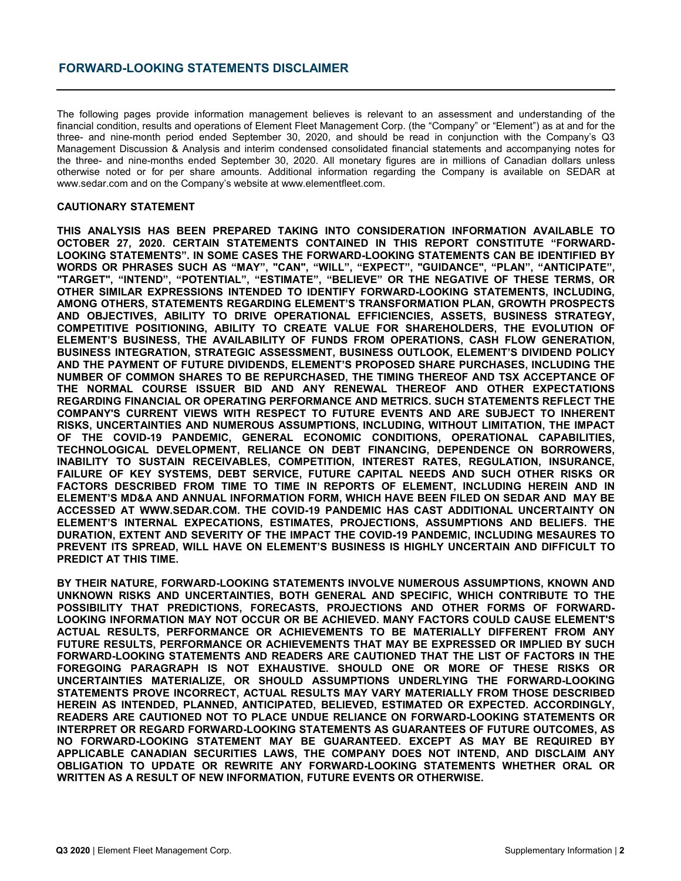# **FORWARD-LOOKING STATEMENTS DISCLAIMER**

The following pages provide information management believes is relevant to an assessment and understanding of the financial condition, results and operations of Element Fleet Management Corp. (the "Company" or "Element") as at and for the three- and nine-month period ended September 30, 2020, and should be read in conjunction with the Company's Q3 Management Discussion & Analysis and interim condensed consolidated financial statements and accompanying notes for the three- and nine-months ended September 30, 2020. All monetary figures are in millions of Canadian dollars unless otherwise noted or for per share amounts. Additional information regarding the Company is available on SEDAR at www.sedar.com and on the Company's website at www.elementfleet.com.

#### **CAUTIONARY STATEMENT**

**THIS ANALYSIS HAS BEEN PREPARED TAKING INTO CONSIDERATION INFORMATION AVAILABLE TO OCTOBER 27, 2020. CERTAIN STATEMENTS CONTAINED IN THIS REPORT CONSTITUTE "FORWARD-LOOKING STATEMENTS". IN SOME CASES THE FORWARD-LOOKING STATEMENTS CAN BE IDENTIFIED BY WORDS OR PHRASES SUCH AS "MAY", "CAN", "WILL", "EXPECT", "GUIDANCE", "PLAN", "ANTICIPATE", "TARGET", "INTEND", "POTENTIAL", "ESTIMATE", "BELIEVE" OR THE NEGATIVE OF THESE TERMS, OR OTHER SIMILAR EXPRESSIONS INTENDED TO IDENTIFY FORWARD-LOOKING STATEMENTS, INCLUDING, AMONG OTHERS, STATEMENTS REGARDING ELEMENT'S TRANSFORMATION PLAN, GROWTH PROSPECTS AND OBJECTIVES, ABILITY TO DRIVE OPERATIONAL EFFICIENCIES, ASSETS, BUSINESS STRATEGY, COMPETITIVE POSITIONING, ABILITY TO CREATE VALUE FOR SHAREHOLDERS, THE EVOLUTION OF ELEMENT'S BUSINESS, THE AVAILABILITY OF FUNDS FROM OPERATIONS, CASH FLOW GENERATION, BUSINESS INTEGRATION, STRATEGIC ASSESSMENT, BUSINESS OUTLOOK, ELEMENT'S DIVIDEND POLICY AND THE PAYMENT OF FUTURE DIVIDENDS, ELEMENT'S PROPOSED SHARE PURCHASES, INCLUDING THE NUMBER OF COMMON SHARES TO BE REPURCHASED, THE TIMING THEREOF AND TSX ACCEPTANCE OF THE NORMAL COURSE ISSUER BID AND ANY RENEWAL THEREOF AND OTHER EXPECTATIONS REGARDING FINANCIAL OR OPERATING PERFORMANCE AND METRICS. SUCH STATEMENTS REFLECT THE COMPANY'S CURRENT VIEWS WITH RESPECT TO FUTURE EVENTS AND ARE SUBJECT TO INHERENT RISKS, UNCERTAINTIES AND NUMEROUS ASSUMPTIONS, INCLUDING, WITHOUT LIMITATION, THE IMPACT OF THE COVID-19 PANDEMIC, GENERAL ECONOMIC CONDITIONS, OPERATIONAL CAPABILITIES, TECHNOLOGICAL DEVELOPMENT, RELIANCE ON DEBT FINANCING, DEPENDENCE ON BORROWERS, INABILITY TO SUSTAIN RECEIVABLES, COMPETITION, INTEREST RATES, REGULATION, INSURANCE, FAILURE OF KEY SYSTEMS, DEBT SERVICE, FUTURE CAPITAL NEEDS AND SUCH OTHER RISKS OR FACTORS DESCRIBED FROM TIME TO TIME IN REPORTS OF ELEMENT, INCLUDING HEREIN AND IN ELEMENT'S MD&A AND ANNUAL INFORMATION FORM, WHICH HAVE BEEN FILED ON SEDAR AND MAY BE ACCESSED AT WWW.SEDAR.COM. THE COVID-19 PANDEMIC HAS CAST ADDITIONAL UNCERTAINTY ON ELEMENT'S INTERNAL EXPECATIONS, ESTIMATES, PROJECTIONS, ASSUMPTIONS AND BELIEFS. THE DURATION, EXTENT AND SEVERITY OF THE IMPACT THE COVID-19 PANDEMIC, INCLUDING MESAURES TO PREVENT ITS SPREAD, WILL HAVE ON ELEMENT'S BUSINESS IS HIGHLY UNCERTAIN AND DIFFICULT TO PREDICT AT THIS TIME.**

**BY THEIR NATURE, FORWARD-LOOKING STATEMENTS INVOLVE NUMEROUS ASSUMPTIONS, KNOWN AND UNKNOWN RISKS AND UNCERTAINTIES, BOTH GENERAL AND SPECIFIC, WHICH CONTRIBUTE TO THE POSSIBILITY THAT PREDICTIONS, FORECASTS, PROJECTIONS AND OTHER FORMS OF FORWARD-LOOKING INFORMATION MAY NOT OCCUR OR BE ACHIEVED. MANY FACTORS COULD CAUSE ELEMENT'S ACTUAL RESULTS, PERFORMANCE OR ACHIEVEMENTS TO BE MATERIALLY DIFFERENT FROM ANY FUTURE RESULTS, PERFORMANCE OR ACHIEVEMENTS THAT MAY BE EXPRESSED OR IMPLIED BY SUCH FORWARD-LOOKING STATEMENTS AND READERS ARE CAUTIONED THAT THE LIST OF FACTORS IN THE FOREGOING PARAGRAPH IS NOT EXHAUSTIVE. SHOULD ONE OR MORE OF THESE RISKS OR UNCERTAINTIES MATERIALIZE, OR SHOULD ASSUMPTIONS UNDERLYING THE FORWARD-LOOKING STATEMENTS PROVE INCORRECT, ACTUAL RESULTS MAY VARY MATERIALLY FROM THOSE DESCRIBED HEREIN AS INTENDED, PLANNED, ANTICIPATED, BELIEVED, ESTIMATED OR EXPECTED. ACCORDINGLY, READERS ARE CAUTIONED NOT TO PLACE UNDUE RELIANCE ON FORWARD-LOOKING STATEMENTS OR INTERPRET OR REGARD FORWARD-LOOKING STATEMENTS AS GUARANTEES OF FUTURE OUTCOMES, AS NO FORWARD-LOOKING STATEMENT MAY BE GUARANTEED. EXCEPT AS MAY BE REQUIRED BY APPLICABLE CANADIAN SECURITIES LAWS, THE COMPANY DOES NOT INTEND, AND DISCLAIM ANY OBLIGATION TO UPDATE OR REWRITE ANY FORWARD-LOOKING STATEMENTS WHETHER ORAL OR WRITTEN AS A RESULT OF NEW INFORMATION, FUTURE EVENTS OR OTHERWISE.**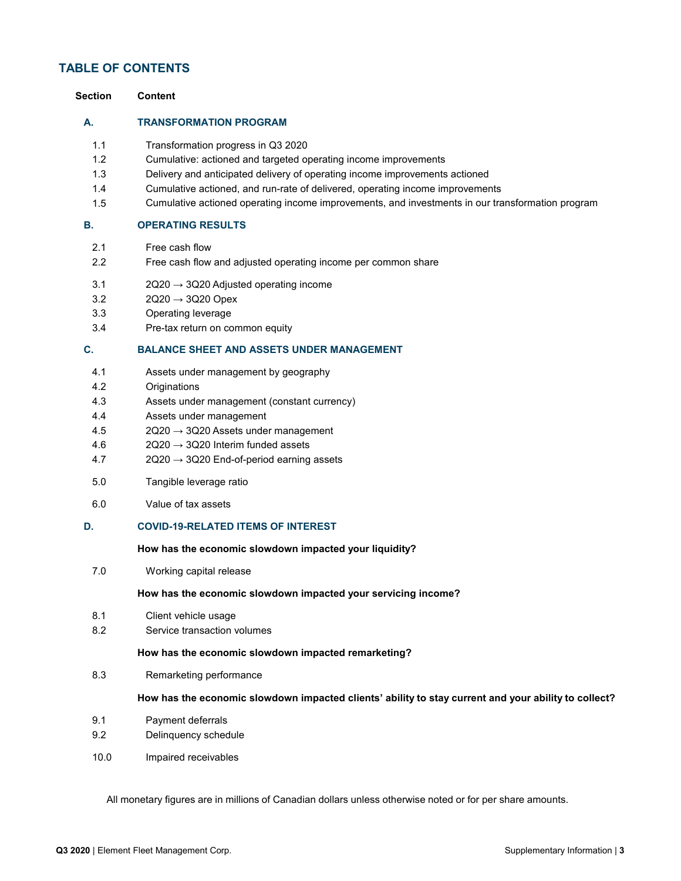# **TABLE OF CONTENTS**

| Section                                       | <b>Content</b>                                                                                                                                                                                                                                                                                                                                                            |
|-----------------------------------------------|---------------------------------------------------------------------------------------------------------------------------------------------------------------------------------------------------------------------------------------------------------------------------------------------------------------------------------------------------------------------------|
| А.                                            | <b>TRANSFORMATION PROGRAM</b>                                                                                                                                                                                                                                                                                                                                             |
| 1.1<br>1.2<br>1.3<br>1.4<br>1.5               | Transformation progress in Q3 2020<br>Cumulative: actioned and targeted operating income improvements<br>Delivery and anticipated delivery of operating income improvements actioned<br>Cumulative actioned, and run-rate of delivered, operating income improvements<br>Cumulative actioned operating income improvements, and investments in our transformation program |
| В.                                            | <b>OPERATING RESULTS</b>                                                                                                                                                                                                                                                                                                                                                  |
| 2.1<br>2.2                                    | Free cash flow<br>Free cash flow and adjusted operating income per common share                                                                                                                                                                                                                                                                                           |
| 3.1<br>3.2<br>3.3<br>3.4                      | $2Q20 \rightarrow 3Q20$ Adjusted operating income<br>$2Q20 \rightarrow 3Q20$ Opex<br>Operating leverage<br>Pre-tax return on common equity                                                                                                                                                                                                                                |
| C.                                            | <b>BALANCE SHEET AND ASSETS UNDER MANAGEMENT</b>                                                                                                                                                                                                                                                                                                                          |
| 4.1<br>4.2<br>4.3<br>4.4<br>4.5<br>4.6<br>4.7 | Assets under management by geography<br>Originations<br>Assets under management (constant currency)<br>Assets under management<br>2Q20 → 3Q20 Assets under management<br>$2Q20 \rightarrow 3Q20$ Interim funded assets<br>$2Q20 \rightarrow 3Q20$ End-of-period earning assets                                                                                            |
| 5.0                                           | Tangible leverage ratio                                                                                                                                                                                                                                                                                                                                                   |
| 6.0                                           | Value of tax assets                                                                                                                                                                                                                                                                                                                                                       |
| D.                                            | <b>COVID-19-RELATED ITEMS OF INTEREST</b>                                                                                                                                                                                                                                                                                                                                 |
|                                               | How has the economic slowdown impacted your liquidity?                                                                                                                                                                                                                                                                                                                    |
| 7.0                                           | Working capital release                                                                                                                                                                                                                                                                                                                                                   |
|                                               | How has the economic slowdown impacted your servicing income?                                                                                                                                                                                                                                                                                                             |
| 8.1<br>8.2                                    | Client vehicle usage<br>Service transaction volumes                                                                                                                                                                                                                                                                                                                       |
|                                               | How has the economic slowdown impacted remarketing?                                                                                                                                                                                                                                                                                                                       |
| 8.3                                           | Remarketing performance                                                                                                                                                                                                                                                                                                                                                   |
|                                               | How has the economic slowdown impacted clients' ability to stay current and your ability to collect?                                                                                                                                                                                                                                                                      |
| 9.1<br>9.2                                    | Payment deferrals<br>Delinquency schedule                                                                                                                                                                                                                                                                                                                                 |
| 10.0                                          | Impaired receivables                                                                                                                                                                                                                                                                                                                                                      |
|                                               |                                                                                                                                                                                                                                                                                                                                                                           |

All monetary figures are in millions of Canadian dollars unless otherwise noted or for per share amounts.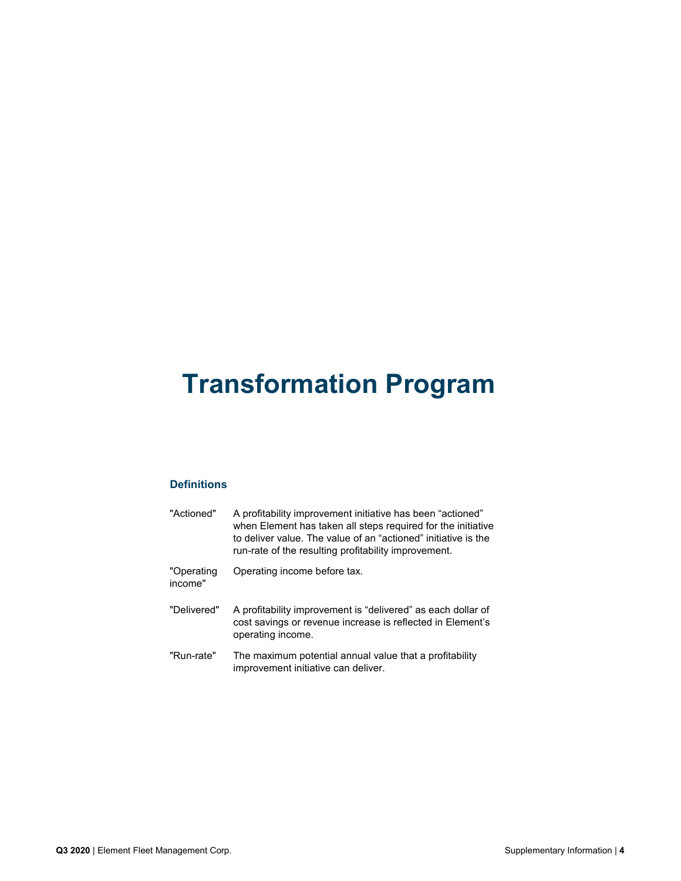# **Transformation Program**

# **Definitions**

| "Actioned"            | A profitability improvement initiative has been "actioned"<br>when Element has taken all steps required for the initiative<br>to deliver value. The value of an "actioned" initiative is the<br>run-rate of the resulting profitability improvement. |
|-----------------------|------------------------------------------------------------------------------------------------------------------------------------------------------------------------------------------------------------------------------------------------------|
| "Operating<br>income" | Operating income before tax.                                                                                                                                                                                                                         |
| "Delivered"           | A profitability improvement is "delivered" as each dollar of<br>cost savings or revenue increase is reflected in Element's<br>operating income.                                                                                                      |
| "Run-rate"            | The maximum potential annual value that a profitability<br>improvement initiative can deliver.                                                                                                                                                       |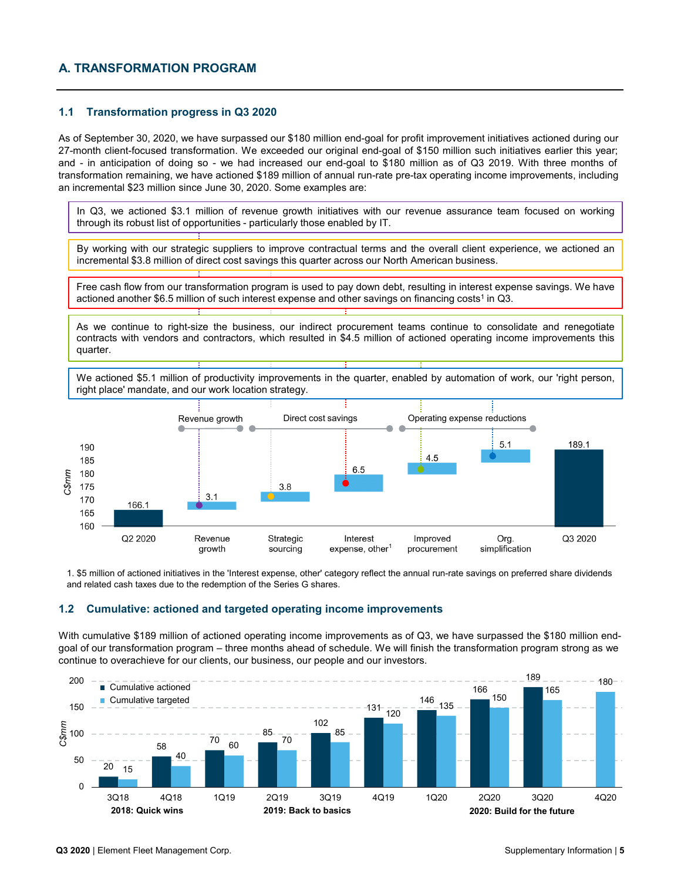# **A. TRANSFORMATION PROGRAM**

#### **1.1 Transformation progress in Q3 2020**

As of September 30, 2020, we have surpassed our \$180 million end-goal for profit improvement initiatives actioned during our 27-month client-focused transformation. We exceeded our original end-goal of \$150 million such initiatives earlier this year; and - in anticipation of doing so - we had increased our end-goal to \$180 million as of Q3 2019. With three months of transformation remaining, we have actioned \$189 million of annual run-rate pre-tax operating income improvements, including an incremental \$23 million since June 30, 2020. Some examples are:

In Q3, we actioned \$3.1 million of revenue growth initiatives with our revenue assurance team focused on working through its robust list of opportunities - particularly those enabled by IT.

By working with our strategic suppliers to improve contractual terms and the overall client experience, we actioned an incremental \$3.8 million of direct cost savings this quarter across our North American business.

Free cash flow from our transformation program is used to pay down debt, resulting in interest expense savings. We have actioned another \$6.5 million of such interest expense and other savings on financing costs<sup>1</sup> in Q3.

As we continue to right-size the business, our indirect procurement teams continue to consolidate and renegotiate contracts with vendors and contractors, which resulted in \$4.5 million of actioned operating income improvements this quarter.

We actioned \$5.1 million of productivity improvements in the quarter, enabled by automation of work, our 'right person, right place' mandate, and our work location strategy.



1. \$5 million of actioned initiatives in the 'Interest expense, other' category reflect the annual run-rate savings on preferred share dividends and related cash taxes due to the redemption of the Series G shares.

#### **1.2 Cumulative: actioned and targeted operating income improvements**

With cumulative \$189 million of actioned operating income improvements as of Q3, we have surpassed the \$180 million endgoal of our transformation program – three months ahead of schedule. We will finish the transformation program strong as we continue to overachieve for our clients, our business, our people and our investors.

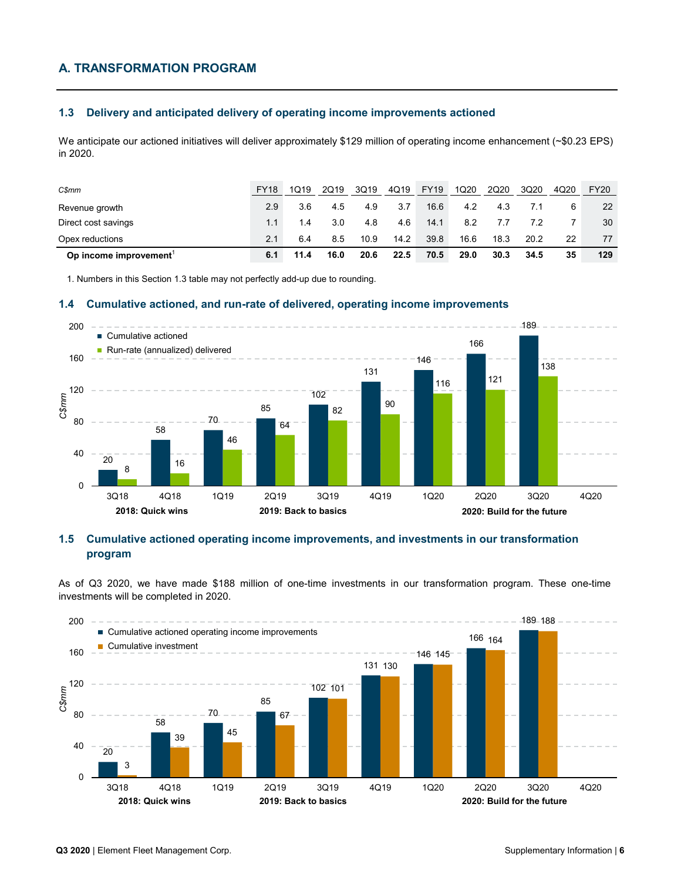# **A. TRANSFORMATION PROGRAM**

# **1.3 Delivery and anticipated delivery of operating income improvements actioned**

We anticipate our actioned initiatives will deliver approximately \$129 million of operating income enhancement (~\$0.23 EPS) in 2020.

| C\$mm                 | <b>FY18</b> | 1019 | 2Q19 | 3Q19 | 4Q19 | <b>FY19</b> | 1Q20 | 2Q20 | 3Q20 | 4Q20 | <b>FY20</b> |
|-----------------------|-------------|------|------|------|------|-------------|------|------|------|------|-------------|
| Revenue growth        | 2.9         | 3.6  | 4.5  | 4.9  | 3.7  | 16.6        | 4.2  | 4.3  |      |      | 22          |
| Direct cost savings   | 1.1         | 1.4  | 3.0  | 4.8  | 4.6  | 14.1        | 8.2  | 7.7  | 7.2  |      | 30          |
| Opex reductions       | 2.1         | 6.4  | 8.5  | 10.9 | 14.2 | 39.8        | 16.6 | 18.3 | 20.2 | 22   | 77          |
| Op income improvement | 6.1         | 11.4 | 16.0 | 20.6 | 22.5 | 70.5        | 29.0 | 30.3 | 34.5 | 35   | 129         |

1. Numbers in this Section 1.3 table may not perfectly add-up due to rounding.

#### **1.4 Cumulative actioned, and run-rate of delivered, operating income improvements**



#### **1.5 Cumulative actioned operating income improvements, and investments in our transformation program**

As of Q3 2020, we have made \$188 million of one-time investments in our transformation program. These one-time investments will be completed in 2020.

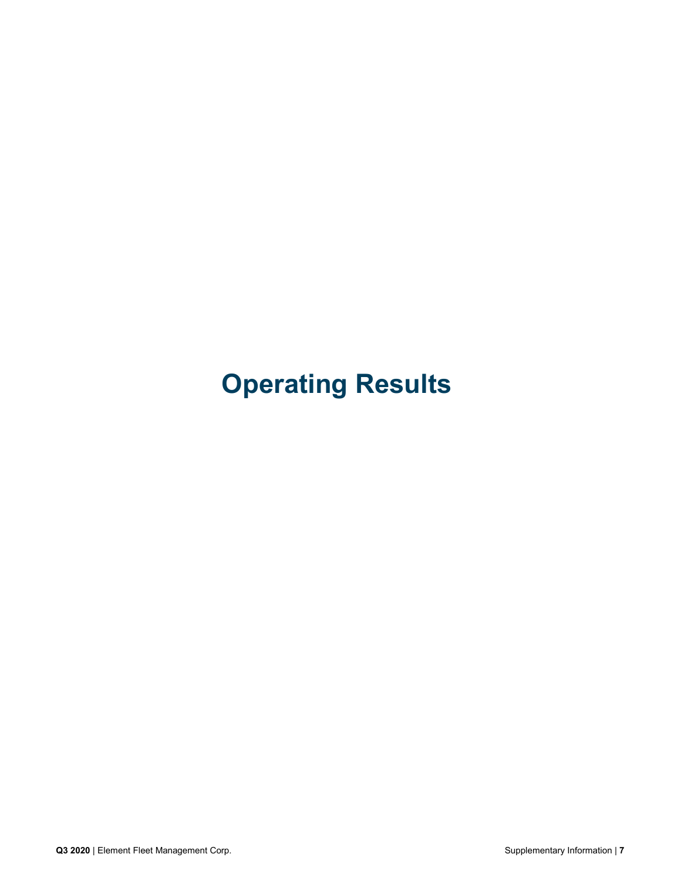# **Operating Results**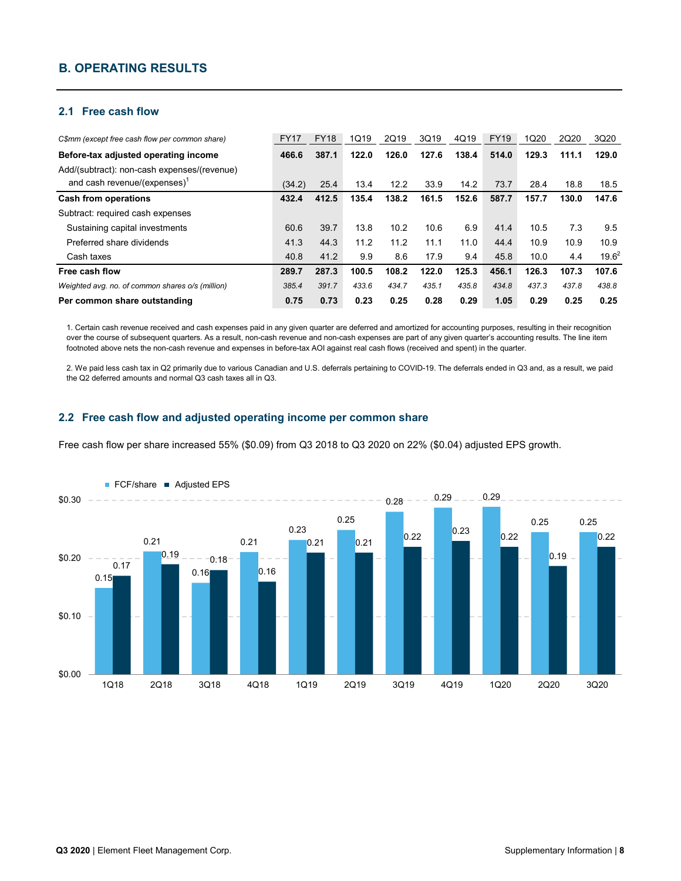# **B. OPERATING RESULTS**

#### **2.1 Free cash flow**

| C\$mm (except free cash flow per common share)   | <b>FY17</b> | <b>FY18</b> | 1Q19  | 2Q19  | 3Q19  | 4Q19  | <b>FY19</b> | 1Q20  | 2Q20  | 3Q20     |
|--------------------------------------------------|-------------|-------------|-------|-------|-------|-------|-------------|-------|-------|----------|
| Before-tax adjusted operating income             | 466.6       | 387.1       | 122.0 | 126.0 | 127.6 | 138.4 | 514.0       | 129.3 | 111.1 | 129.0    |
| Add/(subtract): non-cash expenses/(revenue)      |             |             |       |       |       |       |             |       |       |          |
| and cash revenue/(expenses) $^1$                 | (34.2)      | 25.4        | 13.4  | 12.2  | 33.9  | 14.2  | 73.7        | 28.4  | 18.8  | 18.5     |
| <b>Cash from operations</b>                      | 432.4       | 412.5       | 135.4 | 138.2 | 161.5 | 152.6 | 587.7       | 157.7 | 130.0 | 147.6    |
| Subtract: required cash expenses                 |             |             |       |       |       |       |             |       |       |          |
| Sustaining capital investments                   | 60.6        | 39.7        | 13.8  | 10.2  | 10.6  | 6.9   | 41.4        | 10.5  | 7.3   | 9.5      |
| Preferred share dividends                        | 41.3        | 44.3        | 11.2  | 11.2  | 11.1  | 11.0  | 44.4        | 10.9  | 10.9  | 10.9     |
| Cash taxes                                       | 40.8        | 41.2        | 9.9   | 8.6   | 17.9  | 9.4   | 45.8        | 10.0  | 4.4   | $19.6^2$ |
| Free cash flow                                   | 289.7       | 287.3       | 100.5 | 108.2 | 122.0 | 125.3 | 456.1       | 126.3 | 107.3 | 107.6    |
| Weighted avg. no. of common shares o/s (million) | 385.4       | 391.7       | 433.6 | 434.7 | 435.1 | 435.8 | 434.8       | 437.3 | 437.8 | 438.8    |
| Per common share outstanding                     | 0.75        | 0.73        | 0.23  | 0.25  | 0.28  | 0.29  | 1.05        | 0.29  | 0.25  | 0.25     |

1. Certain cash revenue received and cash expenses paid in any given quarter are deferred and amortized for accounting purposes, resulting in their recognition over the course of subsequent quarters. As a result, non-cash revenue and non-cash expenses are part of any given quarter's accounting results. The line item footnoted above nets the non-cash revenue and expenses in before-tax AOI against real cash flows (received and spent) in the quarter.

2. We paid less cash tax in Q2 primarily due to various Canadian and U.S. deferrals pertaining to COVID-19. The deferrals ended in Q3 and, as a result, we paid the Q2 deferred amounts and normal Q3 cash taxes all in Q3.

#### **2.2 Free cash flow and adjusted operating income per common share**

Free cash flow per share increased 55% (\$0.09) from Q3 2018 to Q3 2020 on 22% (\$0.04) adjusted EPS growth.

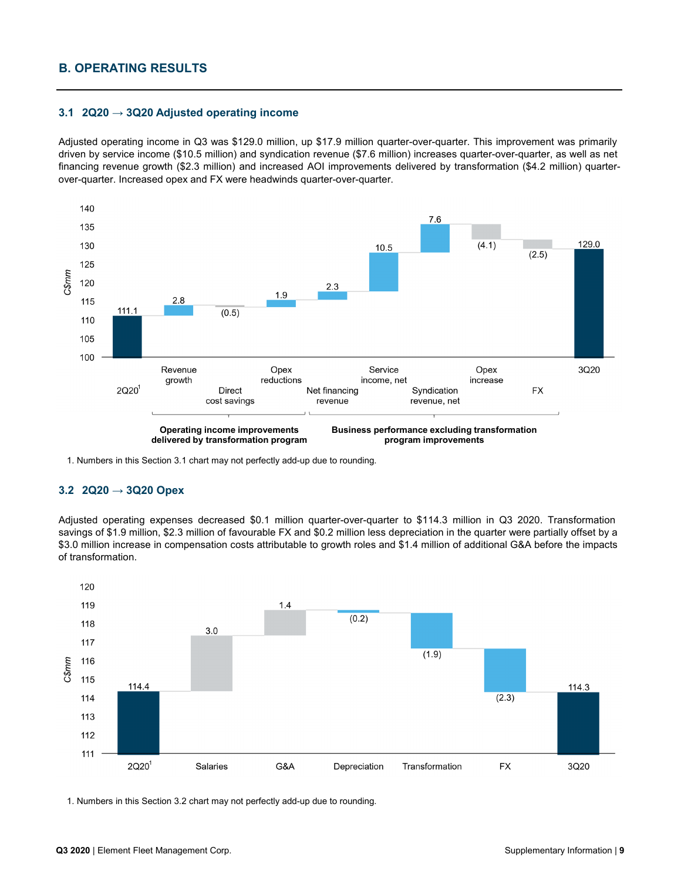# **B. OPERATING RESULTS**

#### **3.1 2Q20 → 3Q20 Adjusted operating income**

Adjusted operating income in Q3 was \$129.0 million, up \$17.9 million quarter-over-quarter. This improvement was primarily driven by service income (\$10.5 million) and syndication revenue (\$7.6 million) increases quarter-over-quarter, as well as net financing revenue growth (\$2.3 million) and increased AOI improvements delivered by transformation (\$4.2 million) quarterover-quarter. Increased opex and FX were headwinds quarter-over-quarter.



1. Numbers in this Section 3.1 chart may not perfectly add-up due to rounding.

#### **3.2 2Q20 → 3Q20 Opex**

Adjusted operating expenses decreased \$0.1 million quarter-over-quarter to \$114.3 million in Q3 2020. Transformation savings of \$1.9 million, \$2.3 million of favourable FX and \$0.2 million less depreciation in the quarter were partially offset by a \$3.0 million increase in compensation costs attributable to growth roles and \$1.4 million of additional G&A before the impacts of transformation.



1. Numbers in this Section 3.2 chart may not perfectly add-up due to rounding.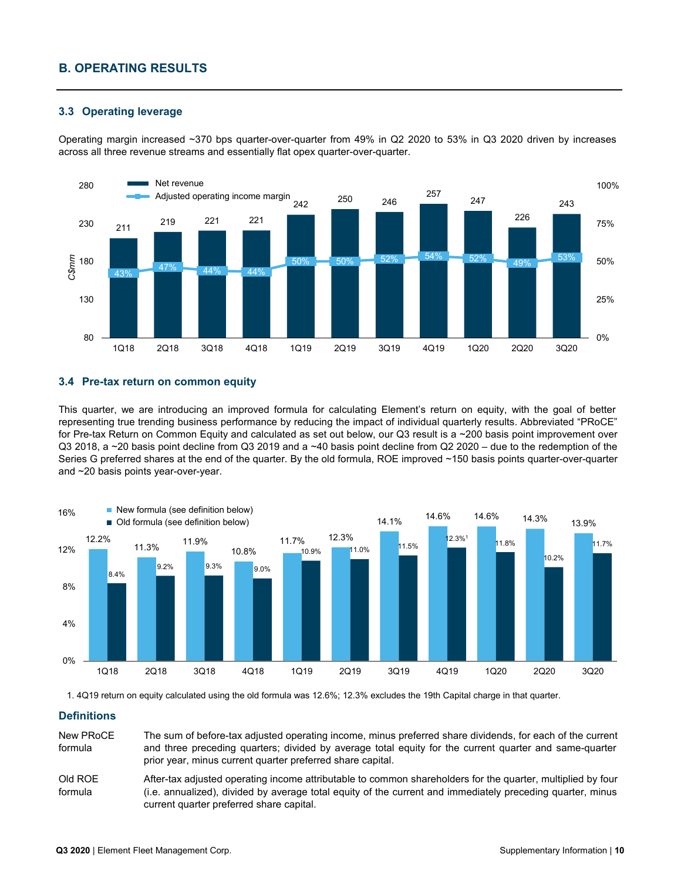# **B. OPERATING RESULTS**

#### **3.3 Operating leverage**

Operating margin increased ~370 bps quarter-over-quarter from 49% in Q2 2020 to 53% in Q3 2020 driven by increases across all three revenue streams and essentially flat opex quarter-over-quarter.



#### **3.4 Pre-tax return on common equity**

This quarter, we are introducing an improved formula for calculating Element's return on equity, with the goal of better representing true trending business performance by reducing the impact of individual quarterly results. Abbreviated "PRoCE" for Pre-tax Return on Common Equity and calculated as set out below, our Q3 result is a ~200 basis point improvement over Q3 2018, a ~20 basis point decline from Q3 2019 and a ~40 basis point decline from Q2 2020 – due to the redemption of the Series G preferred shares at the end of the quarter. By the old formula, ROE improved ~150 basis points quarter-over-quarter and ~20 basis points year-over-year.



1. 4Q19 return on equity calculated using the old formula was 12.6%; 12.3% excludes the 19th Capital charge in that quarter.

#### **Definitions**

New PRoCE formula The sum of before-tax adjusted operating income, minus preferred share dividends, for each of the current and three preceding quarters; divided by average total equity for the current quarter and same-quarter prior year, minus current quarter preferred share capital.

After-tax adjusted operating income attributable to common shareholders for the quarter, multiplied by four (i.e. annualized), divided by average total equity of the current and immediately preceding quarter, minus current quarter preferred share capital. Old ROE formula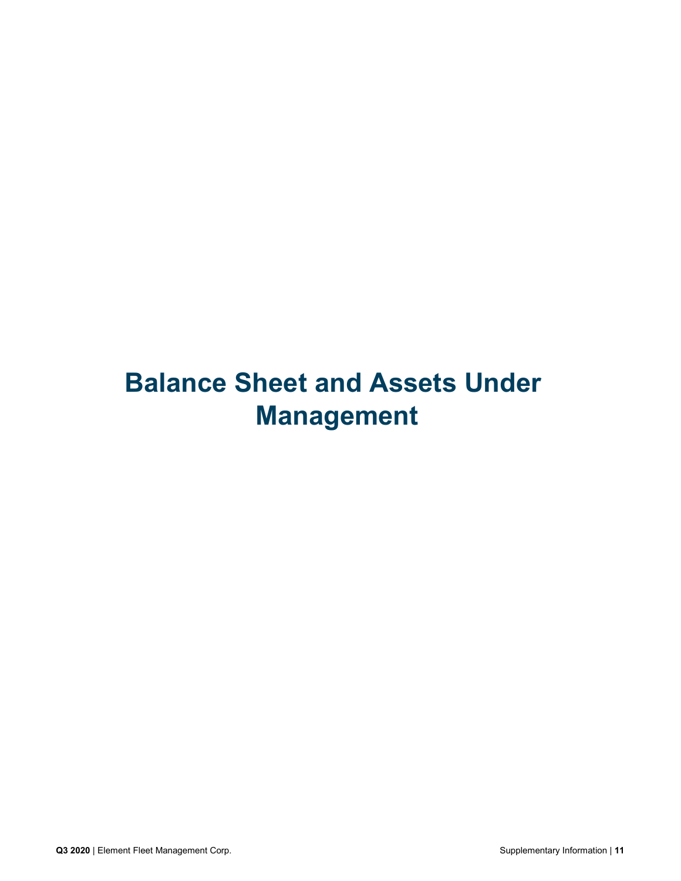# **Balance Sheet and Assets Under Management**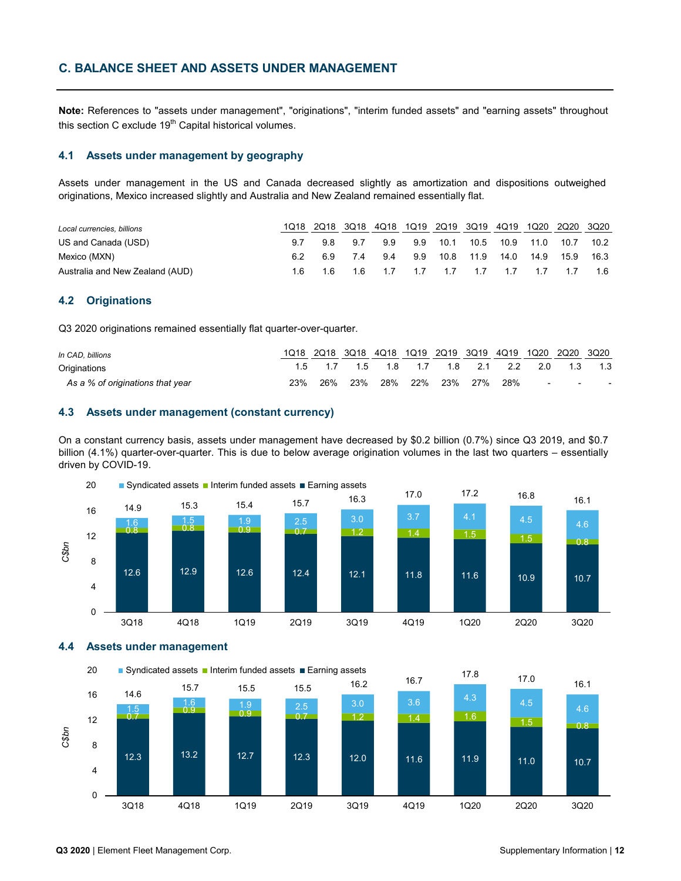# **C. BALANCE SHEET AND ASSETS UNDER MANAGEMENT**

**Note:** References to "assets under management", "originations", "interim funded assets" and "earning assets" throughout this section C exclude  $19<sup>th</sup>$  Capital historical volumes.

#### **4.1 Assets under management by geography**

Assets under management in the US and Canada decreased slightly as amortization and dispositions outweighed originations, Mexico increased slightly and Australia and New Zealand remained essentially flat.

| Local currencies, billions      |     |     | 1Q18 2Q18 3Q18 4Q18 1Q19 2Q19 3Q19 4Q19 1Q20 2Q20 3Q20 |                   |                                   |      |      |      |        |
|---------------------------------|-----|-----|--------------------------------------------------------|-------------------|-----------------------------------|------|------|------|--------|
| US and Canada (USD)             | 98  | 9.7 | 99                                                     |                   | 9.9 10.1 10.5 10.9 11.0 10.7 10.2 |      |      |      |        |
| Mexico (MXN)                    | 6.9 | 74  |                                                        | 9.4 9.9 10.8 11.9 |                                   | 14.0 | 14.9 | 15.9 | - 16.3 |
| Australia and New Zealand (AUD) |     |     | 1.6 1.6 1.6 1.7 1.7 1.7 1.7 1.7 1.7 1.7 1.6            |                   |                                   |      |      |      |        |

#### **4.2 Originations**

Q3 2020 originations remained essentially flat quarter-over-quarter.

| In CAD, billions                 |     |     | 1Q18 2Q18 3Q18 4Q18 1Q19 2Q19 3Q19 4Q19 1Q20 2Q20 3Q20 |  |  |                                 |  |
|----------------------------------|-----|-----|--------------------------------------------------------|--|--|---------------------------------|--|
| Originations                     |     |     | 1.5 1.7 1.5 1.8 1.7 1.8 2.1 2.2 2.0 1.3 1.3            |  |  |                                 |  |
| As a % of originations that year | 23% | 26% | 23% 28% 22% 23% 27% 28%                                |  |  | the contract of the contract of |  |

# **4.3 Assets under management (constant currency)**

On a constant currency basis, assets under management have decreased by \$0.2 billion (0.7%) since Q3 2019, and \$0.7 billion (4.1%) quarter-over-quarter. This is due to below average origination volumes in the last two quarters – essentially driven by COVID-19.



**4.4 Assets under management**

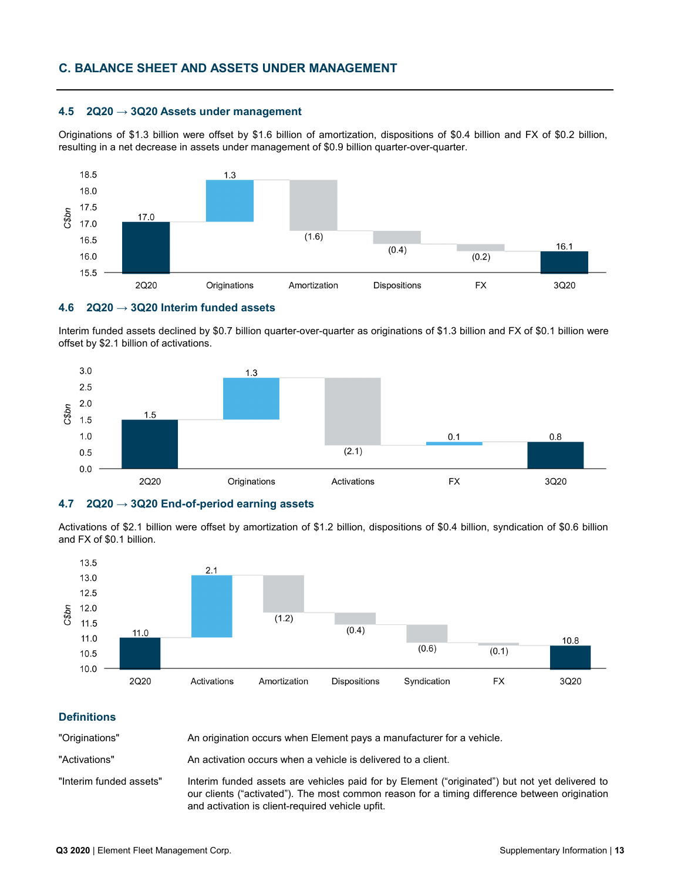# **C. BALANCE SHEET AND ASSETS UNDER MANAGEMENT**

#### **4.5 2Q20 → 3Q20 Assets under management**

Originations of \$1.3 billion were offset by \$1.6 billion of amortization, dispositions of \$0.4 billion and FX of \$0.2 billion, resulting in a net decrease in assets under management of \$0.9 billion quarter-over-quarter.



#### **4.6 2Q20 → 3Q20 Interim funded assets**

Interim funded assets declined by \$0.7 billion quarter-over-quarter as originations of \$1.3 billion and FX of \$0.1 billion were offset by \$2.1 billion of activations.



#### **4.7 2Q20 → 3Q20 End-of-period earning assets**

Activations of \$2.1 billion were offset by amortization of \$1.2 billion, dispositions of \$0.4 billion, syndication of \$0.6 billion and FX of \$0.1 billion.



#### **Definitions**

"Originations" An origination occurs when Element pays a manufacturer for a vehicle.

"Activations" An activation occurs when a vehicle is delivered to a client.

"Interim funded assets" Interim funded assets are vehicles paid for by Element ("originated") but not yet delivered to our clients ("activated"). The most common reason for a timing difference between origination and activation is client-required vehicle upfit.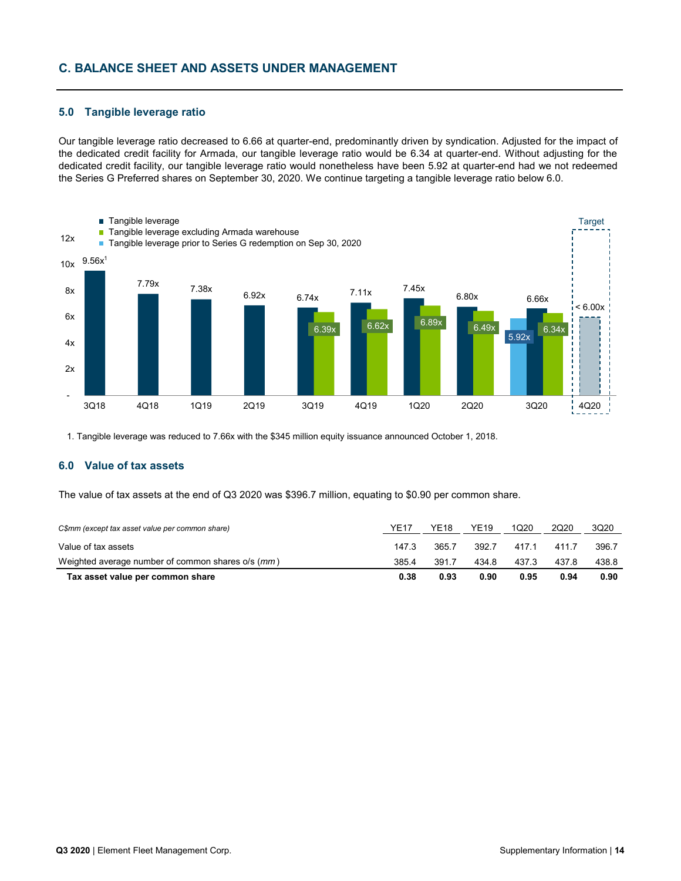# **C. BALANCE SHEET AND ASSETS UNDER MANAGEMENT**

#### **5.0 Tangible leverage ratio**

Our tangible leverage ratio decreased to 6.66 at quarter-end, predominantly driven by syndication. Adjusted for the impact of the dedicated credit facility for Armada, our tangible leverage ratio would be 6.34 at quarter-end. Without adjusting for the dedicated credit facility, our tangible leverage ratio would nonetheless have been 5.92 at quarter-end had we not redeemed the Series G Preferred shares on September 30, 2020. We continue targeting a tangible leverage ratio below 6.0.



1. Tangible leverage was reduced to 7.66x with the \$345 million equity issuance announced October 1, 2018.

#### **6.0 Value of tax assets**

The value of tax assets at the end of Q3 2020 was \$396.7 million, equating to \$0.90 per common share.

| C\$mm (except tax asset value per common share)   | <b>YE17</b> | YE18  | <b>YE19</b> | 1020  | 2020  | 3Q20  |
|---------------------------------------------------|-------------|-------|-------------|-------|-------|-------|
| Value of tax assets                               | 147.3       | 365.7 | 392.7       | 417.1 | 4117  | 396.7 |
| Weighted average number of common shares o/s (mm) | 385.4       | 391.7 | 434.8       | 437.3 | 437.8 | 438.8 |
| Tax asset value per common share                  | 0.38        | 0.93  | 0.90        | 0.95  | 0.94  | 0.90  |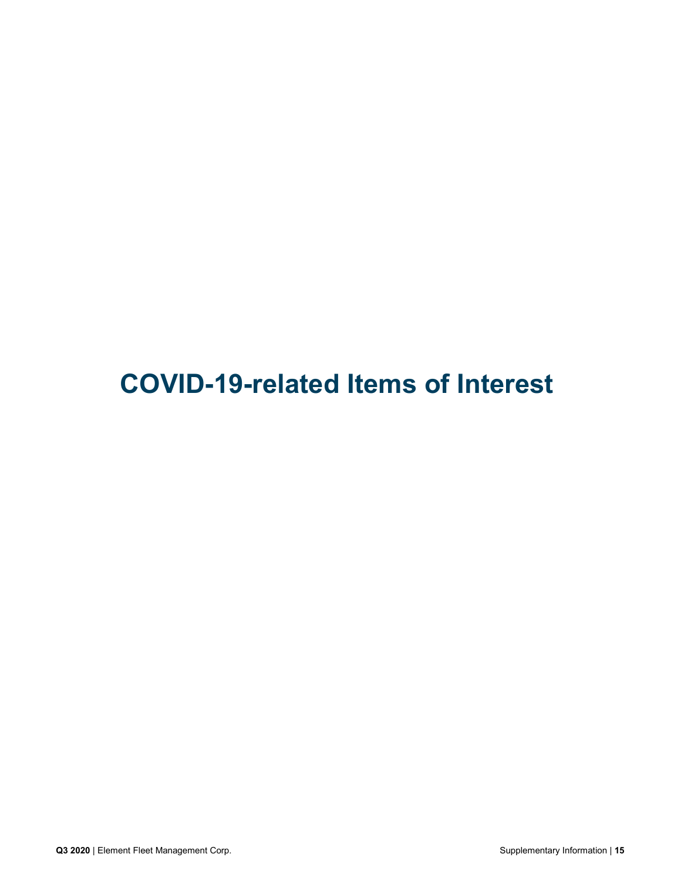**COVID-19-related Items of Interest**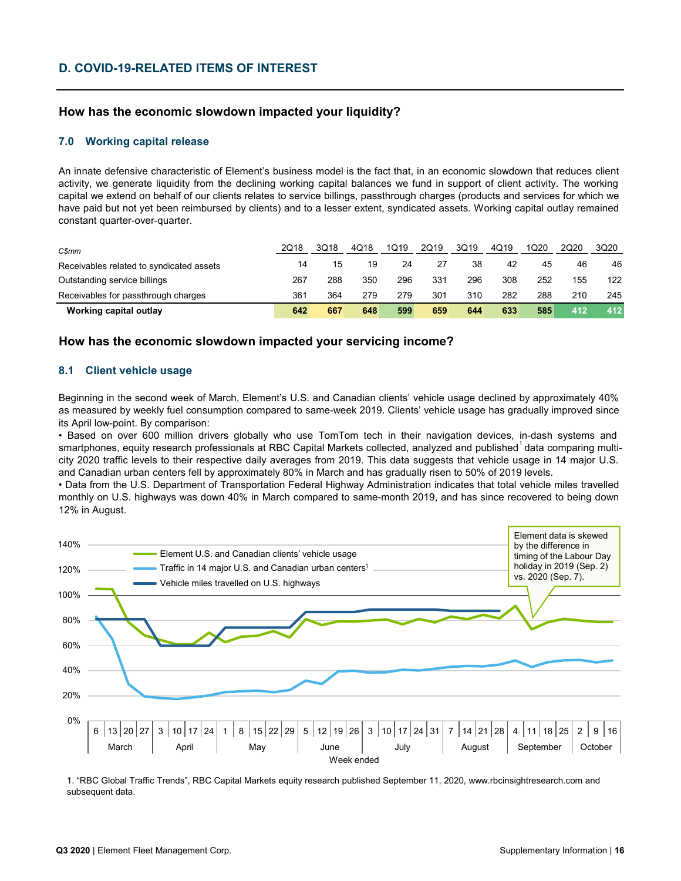# **D. COVID-19-RELATED ITEMS OF INTEREST**

# **How has the economic slowdown impacted your liquidity?**

#### **7.0 Working capital release**

An innate defensive characteristic of Element's business model is the fact that, in an economic slowdown that reduces client activity, we generate liquidity from the declining working capital balances we fund in support of client activity. The working capital we extend on behalf of our clients relates to service billings, passthrough charges (products and services for which we have paid but not yet been reimbursed by clients) and to a lesser extent, syndicated assets. Working capital outlay remained constant quarter-over-quarter.

| C\$mm                                    | 2018 | 3Q18 | 4018 | 1Q19 | 2Q19 | 3Q19 | 4Q19 | 1Q20 | 2Q20 | 3Q20 |
|------------------------------------------|------|------|------|------|------|------|------|------|------|------|
| Receivables related to syndicated assets | 14   | 15   | 19   | 24   | 27   | 38   | 42   | 45   | 46   | 46   |
| Outstanding service billings             | 267  | 288  | 350  | 296  | 331  | 296  | 308  | 252  | 155  | 122  |
| Receivables for passthrough charges      | 361  | 364  | 279  | 279  | 301  | 310  | 282  | 288  | 210  | 245  |
| Working capital outlay                   | 642  | 667  | 648  | 599  | 659  | 644  | 633  | 585  | 412  | 412  |

### **How has the economic slowdown impacted your servicing income?**

#### **8.1 Client vehicle usage**

Beginning in the second week of March, Element's U.S. and Canadian clients' vehicle usage declined by approximately 40% as measured by weekly fuel consumption compared to same-week 2019. Clients' vehicle usage has gradually improved since its April low-point. By comparison:

• Based on over 600 million drivers globally who use TomTom tech in their navigation devices, in-dash systems and smartphones, equity research professionals at RBC Capital Markets collected, analyzed and published $^{\rm 1}$ data comparing multicity 2020 traffic levels to their respective daily averages from 2019. This data suggests that vehicle usage in 14 major U.S. and Canadian urban centers fell by approximately 80% in March and has gradually risen to 50% of 2019 levels.

• Data from the U.S. Department of Transportation Federal Highway Administration indicates that total vehicle miles travelled monthly on U.S. highways was down 40% in March compared to same-month 2019, and has since recovered to being down 12% in August.



1. "RBC Global Traffic Trends", RBC Capital Markets equity research published September 11, 2020, www.rbcinsightresearch.com and subsequent data.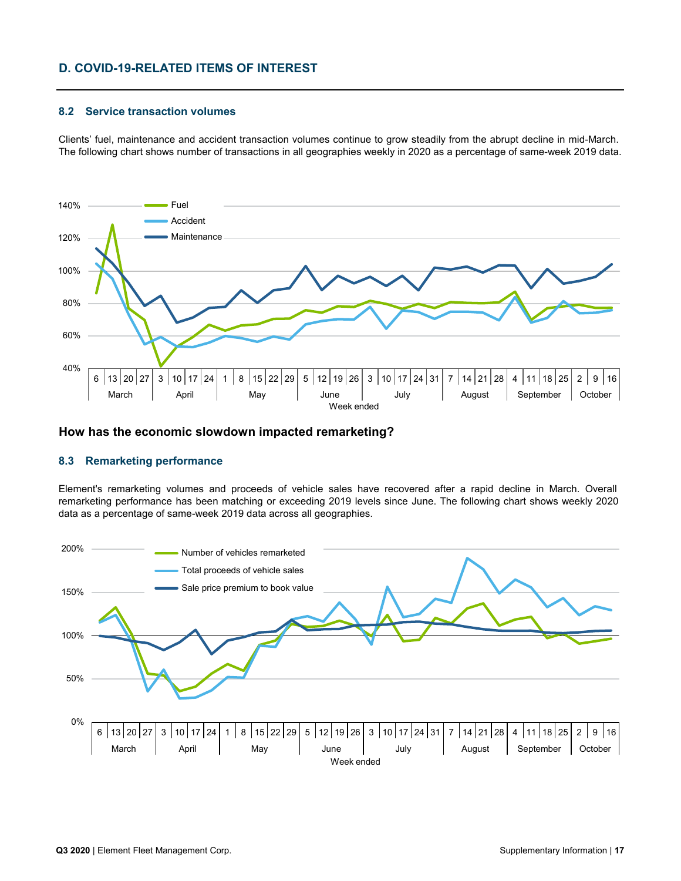# **D. COVID-19-RELATED ITEMS OF INTEREST**

#### **8.2 Service transaction volumes**

Clients' fuel, maintenance and accident transaction volumes continue to grow steadily from the abrupt decline in mid-March. The following chart shows number of transactions in all geographies weekly in 2020 as a percentage of same-week 2019 data.



### **How has the economic slowdown impacted remarketing?**

#### **8.3 Remarketing performance**

Element's remarketing volumes and proceeds of vehicle sales have recovered after a rapid decline in March. Overall remarketing performance has been matching or exceeding 2019 levels since June. The following chart shows weekly 2020 data as a percentage of same-week 2019 data across all geographies.

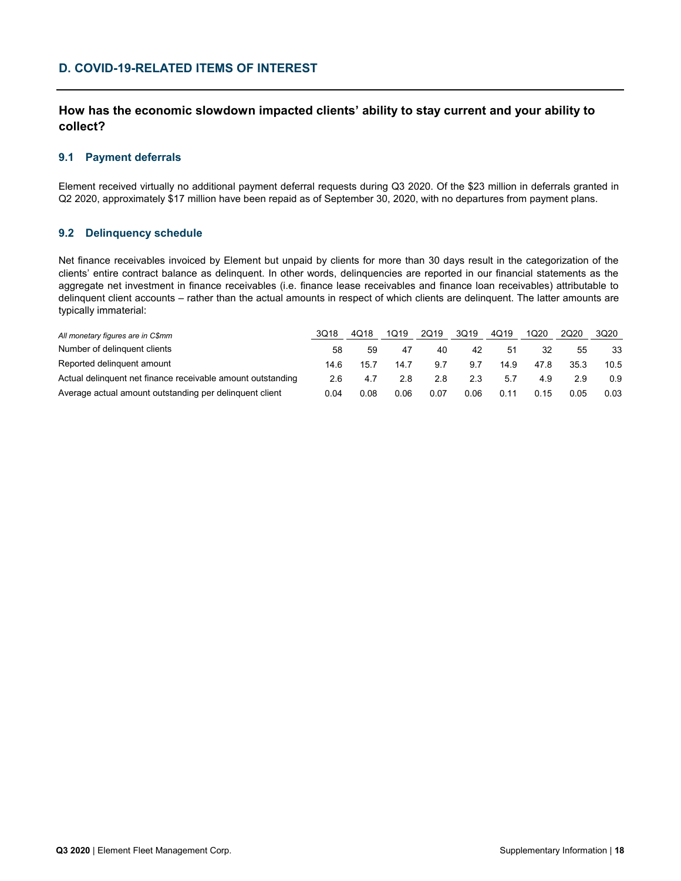# **D. COVID-19-RELATED ITEMS OF INTEREST**

# **How has the economic slowdown impacted clients' ability to stay current and your ability to collect?**

#### **9.1 Payment deferrals**

Element received virtually no additional payment deferral requests during Q3 2020. Of the \$23 million in deferrals granted in Q2 2020, approximately \$17 million have been repaid as of September 30, 2020, with no departures from payment plans.

#### **9.2 Delinquency schedule**

Net finance receivables invoiced by Element but unpaid by clients for more than 30 days result in the categorization of the clients' entire contract balance as delinquent. In other words, delinquencies are reported in our financial statements as the aggregate net investment in finance receivables (i.e. finance lease receivables and finance loan receivables) attributable to delinquent client accounts – rather than the actual amounts in respect of which clients are delinquent. The latter amounts are typically immaterial:

| All monetary figures are in C\$mm                           | 3018 | 4Q18 | 1019 | 2Q19 | 3Q19 | 4Q19 | 1Q20 | 2020 | 3Q20 |
|-------------------------------------------------------------|------|------|------|------|------|------|------|------|------|
| Number of delinguent clients                                | 58   | 59   | 47   | 40   | 42   | 51   | 32   | 55   | 33   |
| Reported delinguent amount                                  | 14.6 | 15.7 | 14.7 | 9.7  | 9.7  | 14.9 | 47.8 | 35.3 | 10.5 |
| Actual delinguent net finance receivable amount outstanding | 2.6  | 4.7  | 2.8  | 2.8  | 2.3  | 5.7  | 4.9  | っぺ   | 0.9  |
| Average actual amount outstanding per delinguent client     | 0.04 | 0.08 | 0.06 | 0.07 | 0.06 | 0.11 | 0.15 | 0.05 | 0.03 |